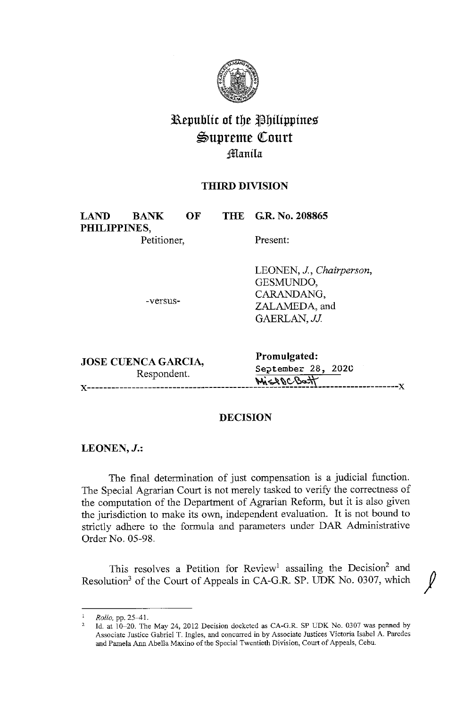

# **l\epubltc of tbe ~bilipptnes**   $\mathfrak{S}$ upreme Court **~anila**

## **THIRD DIVISION**

**LAND BANK PHILIPPINES, OF** 

Petitioner,

Present:

**THE G.R. No. 208865** 

-versus-

LEONEN, J., *Chairperson,*  GESMUNDO, CARANDANG, ZALAMEDA, and GAERLAN, *JJ.* 

**JOSE CUENCA GARCIA, Promulgated:** Respondent.

September 28, 2020  $\mathcal{W}$  sep  $\mathcal{W}$ x-----------------------------------------------------------------------------x

## **DECISION**

**LEONEN,J.:** 

The final determination of just compensation is a judicial function. The Special Agrarian Court is not merely tasked to verify the correctness of the computation of the Department of Agrarian Reform, but it is also given the jurisdiction to make its own, independent evaluation. It is not bound to strictly adhere to the formula and parameters under DAR Administrative Order No. 05-98.

This resolves a Petition for Review<sup>1</sup> assailing the Decision<sup>2</sup> and Resolution<sup>3</sup> of the Court of Appeals in CA-G.R. SP. UDK No. 0307, which

<sup>1</sup> *Rollo,* pp. 25-41.

<sup>2</sup>Id. at 10-20. The May 24, 2012 Decision docketed as CA-G.R. SP UDK No. 0307 was penned by Associate Justice Gabriel T. Ingles, and concurred in by Associate Justices Victoria Isabel A. Paredes and Pamela Ann Abella Maxino of the Special Twentieth Division, Court of Appeals, Cebu.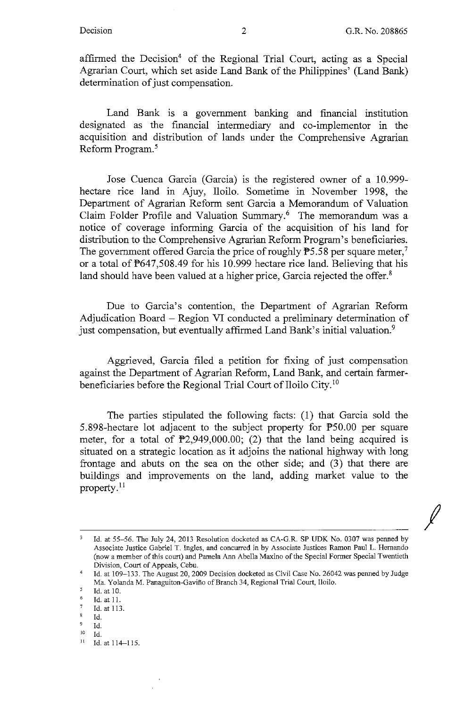*I* 

affirmed the Decision<sup>4</sup> of the Regional Trial Court, acting as a Special Agrarian Court, which set aside Land Bank of the Philippines' (Land Bank) determination of just compensation.

Land Bank is a government banking and financial institution designated as the financial intermediary and co-implementor in the acquisition and distribution of lands under the Comprehensive Agrarian Reform Program. <sup>5</sup>

Jose Cuenca Garcia (Garcia) is the registered owner of a 10.999 hectare rice land in Ajuy, Iloilo. Sometime in November 1998, the Department of Agrarian Reform sent Garcia a Memorandum of Valuation Claim Folder Profile and Valuation Summary.<sup>6</sup> The memorandum was a notice of coverage informing Garcia of the acquisition of his land for distribution to the Comprehensive Agrarian Reform Program's beneficiaries. The government offered Garcia the price of roughly  $\overline{P}$ 5.58 per square meter,<sup>7</sup> or a total of P647,508.49 for his 10.999 hectare rice land. Believing that his land should have been valued at a higher price, Garcia rejected the offer.<sup>8</sup>

Due to Garcia's contention, the Department of Agrarian Reform Adjudication Board - Region VI conducted a preliminary determination of just compensation, but eventually affirmed Land Bank's initial valuation.<sup>9</sup>

Aggrieved, Garcia filed a petition for fixing of just compensation against the Department of Agrarian Reform, Land Bank, and certain farmerbeneficiaries before the Regional Trial Court of Iloilo City.<sup>10</sup>

The parties stipulated the following facts: (1) that Garcia sold the 5.898-hectare lot adjacent to the subject property for PS0.00 per square meter, for a total of  $\mathbb{P}2,949,000.00;$  (2) that the land being acquired is situated on a strategic location as it adjoins the national highway with long frontage and abuts on the sea on the other side; and (3) that there are buildings and improvements on the land, adding market value to the property. <sup>11</sup>

Id. at 55-56. The July 24, 2013 Resolution docketed as CA-G.R. SP UDK No. 0307 was penned by Associate Justice Gabriel T. Ingles, and concurred in by Associate Justices Ramon Paul L. Hernando (now a member of this court) and Pamela Ann Abella Maxino of the Special Former Special Twentieth Division, Court of Appeals, Cebu.

<sup>&</sup>lt;sup>4</sup> Id. at 109-133. The August 20, 2009 Decision docketed as Civil Case No. 26042 was penned by Judge Ma. Yolanda M. Panaguiton-Gavifio of Branch 34, Regional Trial Court, Iloilo.

 $\frac{5}{6}$  Id. at 10.

 $\frac{6}{7}$  Id. at 11.<br>  $\frac{7}{8}$  Id. at 113.

 $\frac{8}{9}$  Id.

 $^{9}$  Id.

 $10$  Id.<br>
11 Id. at 114-115.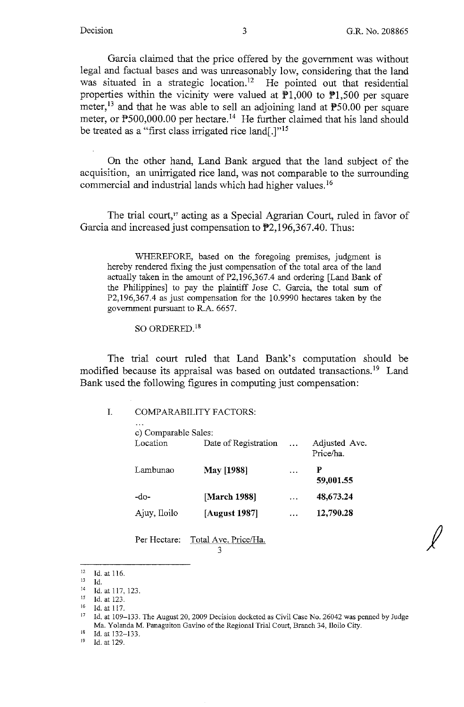Garcia claimed that the price offered by the government was without legal and factual bases and was unreasonably low, considering that the land was situated in a strategic location.<sup>12</sup> He pointed out that residential properties within the vicinity were valued at  $\mathbb{P}1,000$  to  $\mathbb{P}1,500$  per square meter,<sup>13</sup> and that he was able to sell an adjoining land at  $\overline{P}50.00$  per square meter, or P500,000.00 per hectare.<sup>14</sup> He further claimed that his land should be treated as a "first class irrigated rice land[.]"<sup>15</sup>

On the other hand, Land Bank argued that the land subject of the acquisition, an unirrigated rice land, was not comparable to the surrounding commercial and industrial lands which had higher values. 16

The trial court,<sup>17</sup> acting as a Special Agrarian Court, ruled in favor of Garcia and increased just compensation to  $\overline{P}2,196,367.40$ . Thus:

WHEREFORE, based on the foregoing premises, judgment is hereby rendered fixing the just compensation of the total area of the land actually taken in the amount of P2,196,367.4 and ordering [Land Bank of the Philippines] to pay the plaintiff Jose C. Garcia, the total sum of P2,196,367.4 as just compensation for the 10.9990 hectares taken by the government pursuant to R.A. 6657.

SO ORDERED. <sup>18</sup>

The trial court ruled that Land Bank's computation should be modified because its appraisal was based on outdated transactions.<sup>19</sup> Land Bank used the following figures in computing just compensation:

I. COMPARABILITY FACTORS:

| c) Comparable Sales: |                      |          |                            |
|----------------------|----------------------|----------|----------------------------|
| Location             | Date of Registration | $\ddots$ | Adjusted Ave.<br>Price/ha. |
| Lambunao             | May [1988]           | $\cdots$ | Р<br>59,001.55             |
| -do-                 | [March 1988]         | $\cdots$ | 48,673.24                  |
| Ajuy, Iloilo         | [August 1987]        | .        | 12,790.28                  |
|                      |                      |          |                            |

Per Hectare: Total Ave. Price/Ha. 3

 $12 \text{ Id. at } 116.$ 

i, Id.

 $14$  Id. at 117, 123.

 $15$  Id. at 123.<br>  $16$  Id. at 117.<br>  $17$  Id. at 100.

<sup>17</sup> Id. at 109-133. The August 20, 2009 Decision docketed as Civil Case No. 26042 was penned by Judge Ma. Yolanda M. Panaguiton Gavino of the Regional Trial Court, Branch 34, Iloilo City.<br><sup>18</sup> Id. at 132–133.<br><sup>19</sup> Id. at 129

<sup>19</sup> Id. at 129.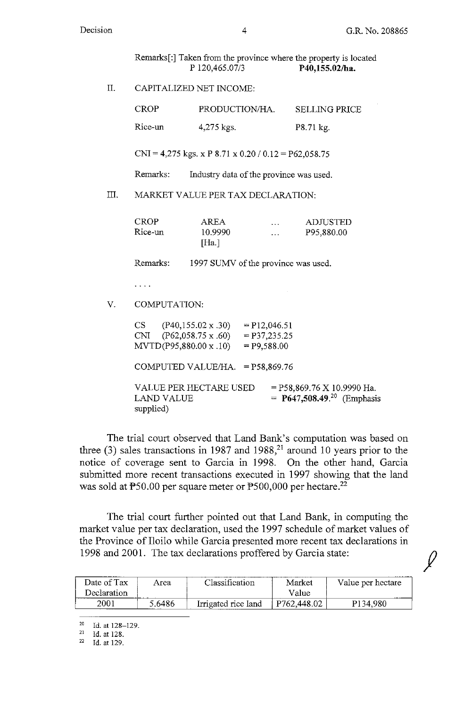$\chi$ 

Remarks[:] Taken from the province where the property is located P 120,465.07/3 **P40,155.02/ha.** 

II. CAPITALIZED NET INCOME:

| CROP.   | PRODUCTION/HA. | <b>SELLING PRICE</b> |
|---------|----------------|----------------------|
| Rice-un | 4,275 kgs.     | P8.71 kg.            |

 $CNI = 4,275$  kgs. x P 8.71 x 0.20 / 0.12 = P62,058.75

Remarks: Industry data of the province was used.

III. MARKET VALUE PER TAX DECLARATION:

| CROP.   | AREA    | $\sim$ $\sim$ $\sim$ | <b>ADJUSTED</b> |
|---------|---------|----------------------|-----------------|
| Rice-un | 10.9990 | $\cdots$             | P95,880.00      |
|         | [Ha.]   |                      |                 |

Remarks: 1997 SUMV of the province was used.

 $\overline{\mathbb{Z}}$  .  $\overline{\mathbb{Z}}$  ,

V. COMPUTATION:

|           | $CS$ (P40,155.02 x .30)<br>$CNI$ (P62,058.75 x .60)<br>MVTD(P95,880.00 x .10) | $=$ P12,046.51<br>$= P37,235.25$<br>$= P9,588.00$ |                                                                        |  |
|-----------|-------------------------------------------------------------------------------|---------------------------------------------------|------------------------------------------------------------------------|--|
|           | COMPUTED VALUE/HA. $=$ P58,869.76                                             |                                                   |                                                                        |  |
| supplied) | <b>VALUE PER HECTARE USED</b><br><b>LAND VALUE</b>                            |                                                   | $=$ P58,869.76 X 10.9990 Ha.<br>= P647,508.49. <sup>20</sup> (Emphasis |  |

The trial court observed that Land Bank's computation was based on three (3) sales transactions in 1987 and 1988,<sup>21</sup> around 10 years prior to the notice of coverage sent to Garcia in 1998. On the other hand, Garcia submitted more recent transactions executed in 1997 showing that the land was sold at P50.00 per square meter or P500,000 per hectare.<sup>22</sup>

The trial court further pointed out that Land Bank, in computing the market value per tax declaration, used the 1997 schedule of market values of the Province of Iloilo while Garcia presented more recent tax declarations in 1998 and 2001. The tax declarations proffered by Garcia state:

| Date of Tax | Area   | Classification      | Market      | Value per hectare |
|-------------|--------|---------------------|-------------|-------------------|
| Declaration |        |                     | Value       |                   |
| 2001        | 5.6486 | Irrigated rice land | P762,448.02 | P134.980          |

<sup>20</sup> Id. at 128-129.<br><sup>21</sup> Id. at 128.<br><sup>22</sup> Id. at 129.

Id. at 129.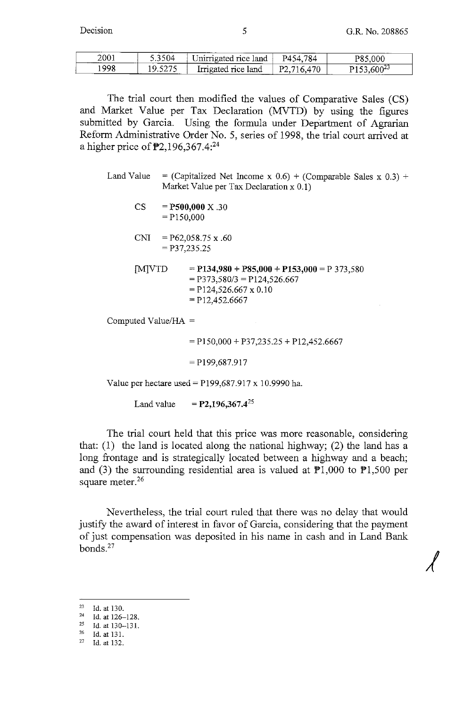*j* 

| 2001 | .     | Jnimigated rice land               | 784<br>P4.<br>∸ | .000  |
|------|-------|------------------------------------|-----------------|-------|
| 998  | ----- | Impated nce land<br>_____<br>_____ |                 | ገበበ2ኃ |

The trial court then modified the values of Comparative Sales **(CS)**  and Market Value per Tax Declaration (MVTD) by using the figures submitted by Garcia. Using the formula under Department of Agrarian Reform Administrative Order No. 5, series of 1998, the trial court arrived at a higher price of  $\text{\texttt{P2}}$ , 196, 367.4:<sup>24</sup>

|                        | Land Value<br>= (Capitalized Net Income x 0.6) + (Comparable Sales x 0.3) +<br>Market Value per Tax Declaration $x$ 0.1) |                                                                                                                                            |
|------------------------|--------------------------------------------------------------------------------------------------------------------------|--------------------------------------------------------------------------------------------------------------------------------------------|
| CS                     | $= P150,000$                                                                                                             | $=$ P500,000 X .30                                                                                                                         |
|                        |                                                                                                                          | $CNI = P62,058.75 \times .60$<br>$=$ P37,235.25                                                                                            |
| <b>MVTD</b>            |                                                                                                                          | $=$ P134,980 + P85,000 + P153,000 = P 373,580<br>$=$ P373,580/3 = P124,526.667<br>$=$ P124,526.667 x 0.10<br>$=$ P <sub>12</sub> .452.6667 |
| Computed Value/ $HA =$ |                                                                                                                          |                                                                                                                                            |
|                        |                                                                                                                          | $=$ P150,000 + P37,235.25 + P12,452.6667                                                                                                   |

 $=$  P199,687.917

Value per hectare used= P199,687.917 x 10.9990 ha.

Land value =  $P2,196,367.4^{25}$ 

The trial court held that this price was more reasonable, considering that:  $(1)$  the land is located along the national highway;  $(2)$  the land has a long frontage and is strategically located between a highway and a beach; and (3) the surrounding residential area is valued at  $\overline{P}1,000$  to  $\overline{P}1,500$  per square meter.<sup>26</sup>

Nevertheless, the trial court ruled that there was no delay that would justify the award of interest in favor of Garcia, considering that the payment of just compensation was deposited in his name in cash and in Land Bank bonds.<sup>27</sup>

<sup>&</sup>lt;sup>23</sup> Id. at 130.<br><sup>24</sup> Id. at 136.

 $\frac{24}{25}$  Id. at 126-128.

 $^{25}$  Id. at 130-131.<br>  $^{26}$  Id. at 131

 $\frac{26}{27}$  Id. at 131.

Id. at 132.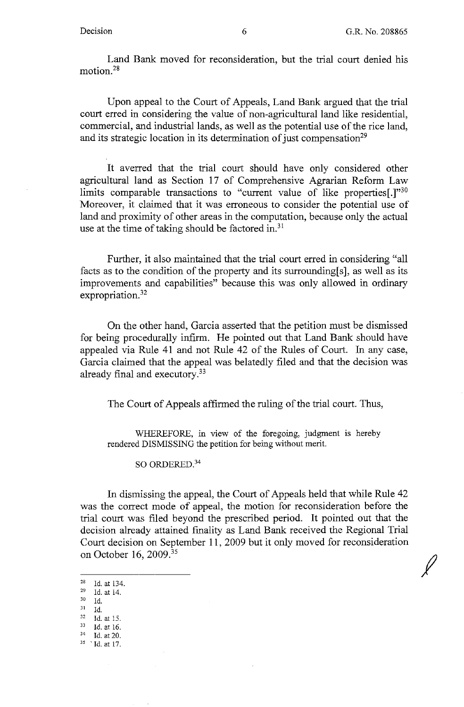*I* 

Land Bank moved for reconsideration, but the trial court denied his motion.28

Upon appeal to the Court of Appeals, Land Bank argued that the trial court erred in considering the value of non-agricultural land like residential, commercial, and industrial lands, as well as the potential use of the rice land, and its strategic location in its determination of just compensation<sup>29</sup>

It averred that the trial court should have only considered other agricultural land as Section 17 of Comprehensive Agrarian Reform Law limits comparable transactions to "current value of like properties[.]"30 Moreover, it claimed that it was erroneous to consider the potential use of land and proximity of other areas in the computation, because only the actual use at the time of taking should be factored in. $31$ 

Further, it also maintained that the trial court erred in considering "all facts as to the condition of the property and its surrounding[s], as well as its improvements and capabilities" because this was only allowed in ordinary expropriation.<sup>32</sup>

On the other hand, Garcia asserted that the petition must be dismissed for being procedurally infirm. He pointed out that Land Bank should have appealed via Rule 41 and not Rule 42 of the Rules of Court. In any case, Garcia claimed that the appeal was belatedly filed and that the decision was already final and executory.<sup>33</sup>

The Court of Appeals affirmed the ruling of the trial court. Thus,

WHEREFORE, in view of the foregoing, judgment is hereby rendered DISMISSING the petition for being without merit.

SO ORDERED.<sup>34</sup>

In dismissing the appeal, the Court of Appeals held that while Rule 42 was the correct mode of appeal, the motion for reconsideration before the trial court was filed beyond the prescribed period. It pointed out that the decision already attained finality as Land Bank received the Regional Trial Court decision on September 11, 2009 but it only moved for reconsideration on October 16, 2009.<sup>35</sup>

- $^{29}$  Id. at 14.
- 30 Id.
- 
- 
- 31 Id.<br>
32 Id. at 15.<br>
33 Id. at 16.<br>
34 Id. at 20.<br>
35 Id. at 17.
- 

 $\frac{28}{29}$  Id. at 134.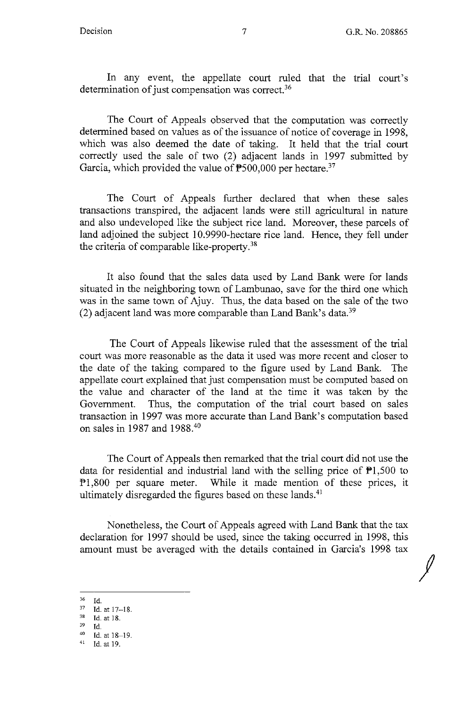$\sqrt{2}$ 

In any event, the appellate court ruled that the trial court's determination of just compensation was correct.<sup>36</sup>

The Court of Appeals observed that the computation was correctly determined based on values as of the issuance of notice of coverage in 1998, which was also deemed the date of taking. It held that the trial court correctly used the sale of two (2) adjacent lands in 1997 submitted by Garcia, which provided the value of  $\text{P}500,000$  per hectare.<sup>37</sup>

The Court of Appeals further declared that when these sales transactions transpired, the adjacent lands were still agricultural in nature and also undeveloped like the subject rice land. Moreover, these parcels of land adjoined the subject 10.9990-hectare rice land. Hence, they fell under the criteria of comparable like-property. 38

It also found that the sales data used by Land Bank were for lands situated in the neighboring town of Lambunao, save for the third one which was in the same town of Ajuy. Thus, the data based on the sale of the two (2) adjacent land was more comparable than Land Bank's data.<sup>39</sup>

The Court of Appeals likewise ruled that the assessment of the trial court was more reasonable as the data it used was more recent and closer to the date of the taking compared to the figure used by Land Bank. The appellate court explained that just compensation must be computed based on the value and character of the land at the time it was taken by the Government. Thus, the computation of the trial court based on sales transaction in 1997 was more accurate than Land Bank's computation based on sales in 1987 and 1988.<sup>40</sup>

The Court of Appeals then remarked that the trial court did not use the data for residential and industrial land with the selling price of  $\mathbb{P}1,500$  to Pl,800 per square meter. While it made mention of these prices, it ultimately disregarded the figures based on these lands. $41$ 

Nonetheless, the Court of Appeals agreed with Land Bank that the tax declaration for 1997 should be used, since the taking occurred in 1998, this amount must be averaged with the details contained in Garcia's 1998 tax

36 Id.

- Id. at 18.
- 

 $^{37}$  Id. at 17-18.<br> $^{38}$  Id. at 18.

 $^{39}$  Id.<br>  $^{40}$  Id. at 18-19.<br>  $^{41}$  Id. at 10.

Id. at 19.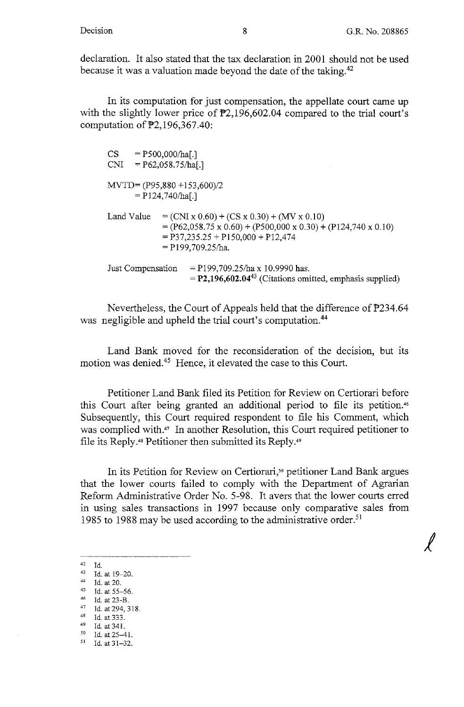*1* 

declaration. It also stated that the tax declaration in 2001 should not be used because it was a valuation made beyond the date of the taking.<sup>42</sup>

In its computation for just compensation, the appellate court came up with the slightly lower price of  $E2,196,602.04$  compared to the trial court's computation of  $\overline{P2}$ , 196, 367.40:

| CS         | $=$ P500,000/ha[.] | $CNI = P62,058.75/ha[.]$                                                                                                                                                                     |
|------------|--------------------|----------------------------------------------------------------------------------------------------------------------------------------------------------------------------------------------|
|            | $= P124,740/ha[.]$ | $MVTD = (P95,880 + 153,600)/2$                                                                                                                                                               |
| Land Value |                    | $= (CNI x 0.60) + (CS x 0.30) + (MV x 0.10)$<br>$= (P62,058.75 \times 0.60) + (P500,000 \times 0.30) + (P124,740 \times 0.10)$<br>$=$ P37,235.25 + P150,000 + P12,474<br>$= P199,709.25/ha.$ |
|            | Just Compensation  | $=$ P199,709.25/ha x 10.9990 has.<br>$=$ P2,196,602.04 <sup>43</sup> (Citations omitted, emphasis supplied)                                                                                  |

Nevertheless, the Court of Appeals held that the difference of  $P$ 234.64 was negligible and upheld the trial court's computation.<sup>44</sup>

Land Bank moved for the reconsideration of the decision, but its motion was denied.45 Hence, it elevated the case to this Court.

Petitioner Land Bank filed its Petition for Review on Certiorari before this Court after being granted an additional period to file its petition.46 Subsequently, this Court required respondent to file his Comment, which was complied with.47 In another Resolution, this Court required petitioner to file its Reply.<sup>48</sup> Petitioner then submitted its Reply.<sup>49</sup>

In its Petition for Review on Certiorari,<sup>50</sup> petitioner Land Bank argues that the lower courts failed to comply with the Department of Agrarian Reform Administrative Order No. 5-98. It avers that the lower courts erred in using sales transactions in 1997 because only comparative sales from 1985 to 1988 may be used according to the administrative order.<sup>51</sup>

42 **Id.** 

- <sup>44</sup> Id. at 20.
- 45 Id. at 55-56.
- <sup>46</sup>Id. at 23-B. 47 Id. at 294, 318. 48 **Id. at 333.**
- 
- 49 Id. at 341.
- $50$  Id. at  $25-41$ .
- 51 Id. at 31-32.

<sup>43</sup> Id. at 19-20.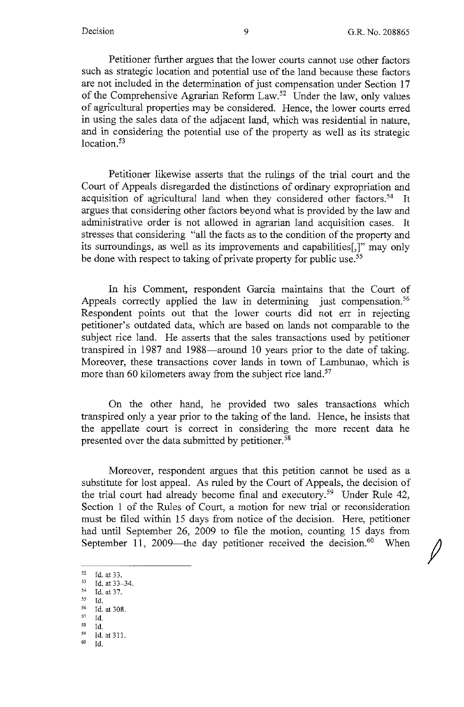Petitioner further argues that the lower courts cannot use other factors such as strategic location and potential use of the land because these factors are not included in the determination of just compensation under Section 17 of the Comprehensive Agrarian Reform Law.<sup>52</sup> Under the law, only values of agricultural properties may be considered. Hence, the lower courts erred in using the sales data of the adjacent land, which was residential in nature, and in considering the potential use of the property as well as its strategic location.<sup>53</sup>

Petitioner likewise asserts that the rulings of the trial court and the Court of Appeals disregarded the distinctions of ordinary expropriation and acquisition of agricultural land when they considered other factors.<sup>54</sup> It argues that considering other factors beyond what is provided by the law and administrative order is not allowed in agrarian land acquisition cases. It stresses that considering "all the facts as to the condition of the property and its surroundings, as well as its improvements and capabilities[,]" may only be done with respect to taking of private property for public use.<sup>55</sup>

In his Comment, respondent Garcia maintains that the Court of Appeals correctly applied the law in determining just compensation.<sup>56</sup> Respondent points out that the lower courts did not err in rejecting petitioner's outdated data, which are based on lands not comparable to the subject rice land. He asserts that the sales transactions used by petitioner transpired in 1987 and 1988—around 10 years prior to the date of taking. Moreover, these transactions cover lands in town of Lambunao, which is more than 60 kilometers away from the subject rice land. $57$ 

On the other hand, he provided two sales transactions which transpired only a year prior to the taking of the land. Hence, he insists that the appellate court is correct in considering the more recent data he presented over the data submitted by petitioner.<sup>58</sup>

Moreover, respondent argues that this petition cannot be used as a substitute for lost appeal. As ruled by the Court of Appeals, the decision of the trial court had already become final and executory.<sup>59</sup> Under Rule 42, Section I of the Rules of Court, a motion for new trial or reconsideration must be filed within 15 days from notice of the decision. Here, petitioner had until September 26, 2009 to file the motion, counting 15 days from September 11, 2009-the day petitioner received the decision.<sup>60</sup> When

- $^{54}$  Id. at 37.
- $\frac{55}{56}$  Id.<br> $\frac{1}{57}$  Id. at 308.
- *51* Id.
- $rac{58}{59}$  Id.

,o Id.

<sup>52</sup>**Id. at** 33. 53 **Id. at 33-34.** 

 $^{59}$  Id. at 311.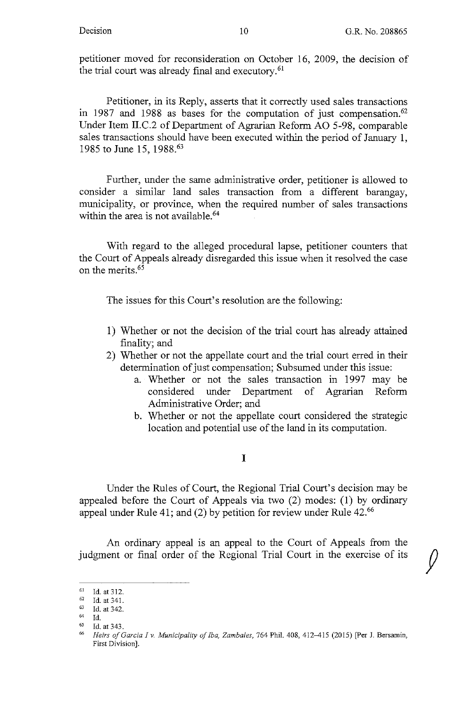petitioner moved for reconsideration on October 16, 2009, the decision of the trial court was already final and executory.<sup>61</sup>

Petitioner, in its Reply, asserts that it correctly used sales transactions in 1987 and 1988 as bases for the computation of just compensation.<sup>62</sup> Under Item II.C.2 of Department of Agrarian Reform AO 5-98, comparable sales transactions should have been executed within the period of January 1, 1985 to June 15, 1988.63

Further, under the same administrative order, petitioner is allowed to consider a similar land sales transaction from a different barangay, municipality, or province, when the required number of sales transactions within the area is not available.<sup>64</sup>

With regard to the alleged procedural lapse, petitioner counters that the Court of Appeals already disregarded this issue when it resolved the case on the merits.65

The issues for this Court's resolution are the following:

- 1) Whether or not the decision of the trial court has already attained finality; and
- 2) Whether or not the appellate court and the trial court erred in their determination of just compensation; Subsumed under this issue:
	- a. Whether or not the sales transaction in 1997 may be considered under Department of Agrarian Reform Administrative Order; and
	- b. Whether or not the appellate court considered the strategic location and potential use of the land in its computation.

#### I

Under the Rules of Court, the Regional Trial Court's decision may be appealed before the Court of Appeals via two (2) modes: (1) by ordinary appeal under Rule 41; and (2) by petition for review under Rule 42.<sup>66</sup>

An ordinary appeal is an appeal to the Court of Appeals from the judgment or final order of the Regional Trial Court in the exercise of its

<sup>61</sup> Id. at 312. 62 Id. at 341. 63 Id. at 342. 64 Id. 65 Id. at 343. 66 *Heirs of Garcia Iv. Municipality of Iba, Zambales,* 764 Phil. 408, 412-415 (2015) [Per J. Bersamin, **First Division].**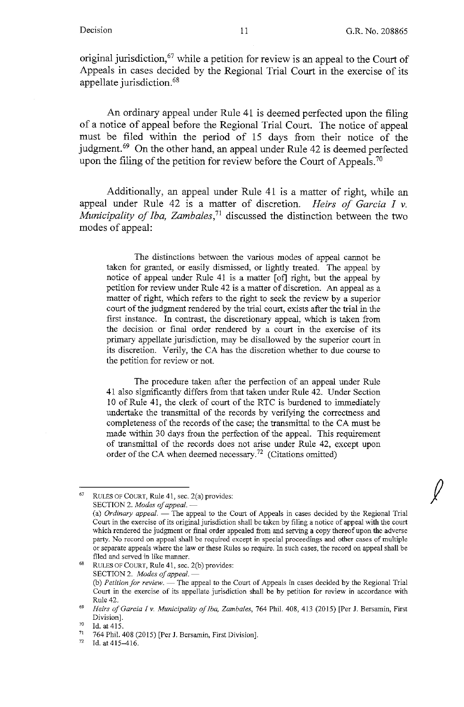original jurisdiction,<sup>67</sup> while a petition for review is an appeal to the Court of Appeals in cases decided by the Regional Trial Court in the exercise of its appellate jurisdiction. 68

An ordinary appeal under Rule 41 is deemed perfected upon the filing of a notice of appeal before the Regional Trial Court. The notice of appeal must be filed within the period of 15 days from their notice of the judgment.<sup>69</sup> On the other hand, an appeal under Rule 42 is deemed perfected upon the filing of the petition for review before the Court of Appeals.<sup>70</sup>

Additionally, an appeal under Rule 41 is a matter of right, while an appeal under Rule 42 is a matter of discretion. *Heirs of Garcia I v. Municipality of Iba, Zambales*<sup>71</sup> discussed the distinction between the two modes of appeal:

The distinctions between the various modes of appeal cannot be taken for granted, or easily dismissed, or lightly treated. The appeal by notice of appeal under Rule 41 is a matter [of] right, but the appeal by petition for review under Rule 42 is a matter of discretion. An appeal as a matter of right, which refers to the right to seek the review by a superior court of the judgment rendered by the trial court, exists after the trial in the first instance. In contrast, the discretionary appeal, which is taken from the decision or final order rendered by a court in the exercise of its primary appellate jurisdiction, may be disallowed by the superior court in its discretion. Verily, the CA has the discretion whether to due course to the petition for review or not.

The procedure taken after the perfection of an appeal under Rule 4 I also significantly differs from that taken under Rule 42. Under Section 10 of Rule 41, the clerk of court of the RTC is burdened to immediately undertake the transmittal of the records by verifying the correctness and completeness of the records of the case; the transmittal to the CA must be made within 30 days from the perfection of the appeal. This requirement of transmittal of the records does not arise under Rule 42, except upon order of the CA when deemed necessary.<sup>72</sup> (Citations omitted)

<sup>67</sup> RULES OF COURT, Rule 41, sec.  $2(a)$  provides: SECTION 2. *Modes of appeal.* -

RULES OF COURT, Rule 41, sec. 2(b) provides: SECTION 2. *Modes of appeal.* - (b) *Petition for review.* — The appeal to the Court of Appeals in cases decided by the Regional Trial **Court in the exercise of its appellate jurisdiction shall be by petition for review in accordance with**  Rule 42.

<sup>(</sup>a) *Ordinary appeal*. - The appeal to the Court of Appeals in cases decided by the Regional Trial Court in the exercise of its original jurisdiction shall be taken by filing a notice of appeal with the court which rendered the judgment or final order appealed from and serving a copy thereof upon the adverse **party. No record on appeal shall be required except in special proceedings and other cases of multiple**  or separate appeals where the law or these Rules so require. In such cases, the record on appeal shall be **filed and served in like manner.** 

<sup>&</sup>lt;sup>69</sup> Heirs of Garcia I v. Municipality of Iba, Zambales, 764 Phil. 408, 413 (2015) [Per J. Bersamin, First

Division].<br><sup>70</sup> Id. at 415.<br><sup>71</sup> 764 Phil. 408 (2015) [Per J. Bersamin, First Division].<br><sup>72</sup> Id. at 415, 416.

Id. at 415-416.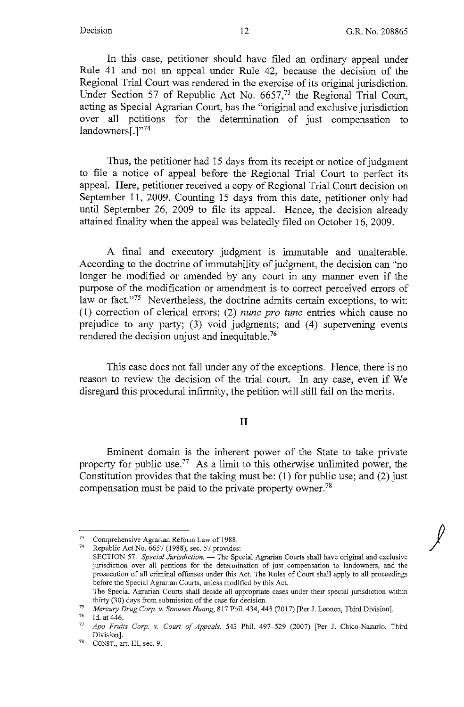In this case, petitioner should have filed an ordinary appeal under Rule 41 and not an appeal under Rule 42, because the decision of the Regional Trial Court was rendered in the exercise of its original jurisdiction. Under Section 57 of Republic Act No. 6657,73 the Regional Trial Court, acting as Special Agrarian Court, has the "original and exclusive jurisdiction over all petitions for the determination of just compensation to landowners<sup>[.]"74</sup>

Thus, the petitioner had 15 days from its receipt or notice of judgment to file a notice of appeal before the Regional Trial Court to perfect its appeal. Here, petitioner received a copy of Regional Trial Court decision on September 11, 2009. Counting 15 days from this date, petitioner only had until September 26, 2009 to file its appeal. Hence, the decision already attained finality when the appeal was belatedly filed on October 16, 2009.

A final and executory judgment is immutable and unalterable. According to the doctrine of immutability of judgment, the decision can "no longer be modified or amended by any court in any manner even if the purpose of the modification or amendment is to correct perceived errors of law or fact."<sup>75</sup> Nevertheless, the doctrine admits certain exceptions, to wit: (1) correction of clerical errors; (2) *nunc pro tune* entries which cause no prejudice to any party;  $(3)$  void judgments; and  $(4)$  supervening events rendered the decision unjust and inequitable.<sup>76</sup>

This case does not fall under any of the exceptions. Hence, there is no reason to review the decision of the trial court. In any case, even if We disregard this procedural infirmity, the petition will still fail on the merits.

#### II

Eminent domain is the inherent power of the State to take private property for public use.<sup>77</sup> As a limit to this otherwise unlimited power, the Constitution provides that the taking must be: (1) for public use; and (2) just compensation must be paid to the private property owner.<sup>78</sup>

<sup>&</sup>lt;sup>73</sup> Comprehensive Agrarian Reform Law of 1988.<br><sup>74</sup> Republic Act No. 6657 (1988), sec. 57 provides:

SECTION 57. Special Jurisdiction. - The Special Agrarian Courts shall have original and exclusive **jurisdiction over all petitions for the determination of just compensation to landowners, and the**  prosecution of all criminal offenses under this Act. The Rules of Court shall apply to all proceedings before the Special Agrarian Courts, unless modified by this Act. The Special Agrarian Courts shall decide all appropriate cases under their special jurisdiction within

thirty (30) days from submission of the case for decision.

<sup>&</sup>lt;sup>75</sup> *Mercury Drug Corp. v. Spouses Huang, 817 Phil. 434, 445 (2017) [Per J. Leonen, Third Division].*<br><sup>76</sup> Id. at 446.<br><sup>77</sup> *Ang. Emits Corp. v. Court of Annagle, 543, Phil. 497, 529, (2007), IPer J. Chico Nazario, 7* 

<sup>77</sup>*Apo Fruits Corp. v. Court of Appeals,* 543 Phil. 497-529 (2007) [Per J. Chico-Nazario, Third **Division].** 

<sup>78</sup> CONST., art. III, sec. 9.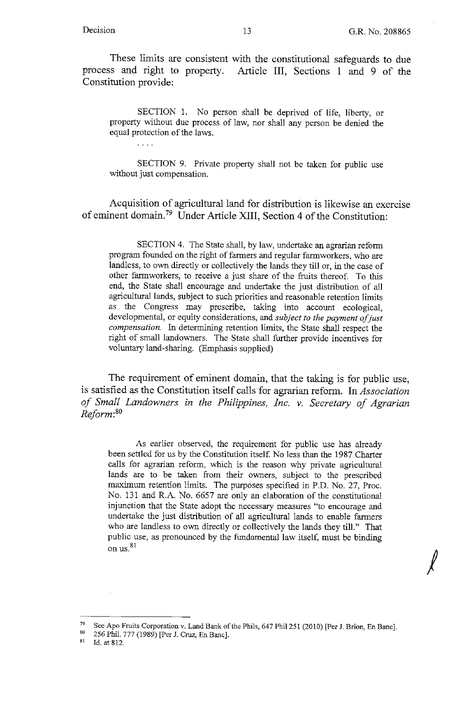$\overline{1}$  .  $\overline{1}$ 

*I* 

These limits are consistent with the constitutional safeguards to due<br>process and right to property. Article III, Sections 1 and 9 of the Article III, Sections 1 and 9 of the Constitution provide:

SECTION 1. No person shall be deprived of life, liberty, or property without due process of law, nor shall any person be denied the equal protection of the laws.

SECTION 9. Private property shall not be taken for public use without just compensation.

Acquisition of agricultural land for distribution is likewise an exercise of eminent domain.<sup>79</sup> Under Article XIII, Section 4 of the Constitution:

SECTION 4. The State shall, by law, undertake an agrarian reform program founded on the right of farmers and regular farmworkers, who are landless, to own directly or collectively the lands they till or, in the case of other farmworkers, to receive a just share of the fruits thereof. To this end, the State shall encourage and undertake the just distribution of all agricultural lands, subject to such priorities and reasonable retention limits as the Congress may prescribe, taking into account ecological, developmental, or equity considerations, and *subject to the payment of just compensation.* In determining retention limits, the State shall respect the right of small landowners. The State shall further provide incentives for voluntary land-sharing. (Emphasis supplied)

The requirement of eminent domain, that the taking is for public use, is satisfied as the Constitution itself calls for agrarian reform. In *Association of Small Landowners in the Philippines, Inc. v. Secretary of Agrarian Reform:80* 

As earlier observed, the requirement for public use has already been settled for us by the Constitution itself. No less than the 1987 Charter calls for agrarian reform, which is the reason why private agricultural lands are to be taken from their owners, subject to the prescribed maximum retention limits. The purposes specified in P.D. No. 27, Proc. No, 131 and R.A. No. 6657 are only an elaboration of the constitutional injunction that the State adopt the necessary measures "to encourage and undertake the just distribution of all agricultural lands to enable farmers who are landless to own directly or collectively the lands they till." That public use, as pronounced by the fundamental law itself, must be binding on us. <sup>81</sup>

<sup>&</sup>lt;sup>79</sup> See Apo Fruits Corporation v. Land Bank of the Phils, 647 Phil 251 (2010) [Per J. Brion, En Banc].<br><sup>80</sup> 256 Phil. 777 (1989) [Per J. Cruz, En Banc].<br><sup>81</sup> Id. at 812.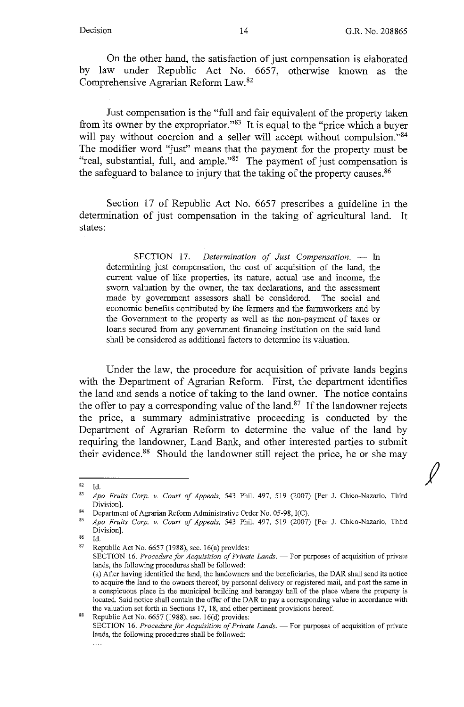On the other hand, the satisfaction of just compensation is elaborated by law under Republic Act No. 6657, otherwise known as the Comprehensive Agrarian Reform Law.82

Just compensation is the "full and fair equivalent of the property taken from its owner by the expropriator."83 It is equal to the "price which a buyer will pay without coercion and a seller will accept without compulsion."<sup>84</sup> The modifier word "just" means that the payment for the property must be "real, substantial, full, and ample."85 The payment of just compensation is the safeguard to balance to injury that the taking of the property causes.<sup>86</sup>

Section 17 of Republic Act No. 6657 prescribes a guideline in the determination of just compensation in the taking of agricultural land. It states:

SECTION 17. *Determination of Just Compensation.* - In determining just compensation, the cost of acquisition of the land, the current value of like properties, its nature, actual use and income, the sworn valuation by the owner, the tax declarations, and the assessment made by government assessors shall be considered. The social and economic benefits contributed by the farmers and the farmworkers and by the Government to the property as well as the non-payment of taxes or loans secured from any government financing institution on the said land shall be considered as additional factors to determine its valuation.

Under the law, the procedure for acquisition of private lands begins with the Department of Agrarian Reform. First, the department identifies the land and sends a notice of taking to the land owner. The notice contains the offer to pay a corresponding value of the land.<sup>87</sup> If the landowner rejects the price, a summary administrative proceeding is conducted by the Department of Agrarian Reform to determine the value of the land by requiring the landowner, Land Bank, and other interested parties to submit their evidence. 88 Should the landowner still reject the price, he or she may

 $^{86}$  Id.<br><sup>87</sup> Republic Act No. 6657 (1988), sec. 16(a) provides: SECTION 16. Procedure for Acquisition of Private Lands. - For purposes of acquisition of private lands, the following procedures shall be followed: (a) After having identified the land, the landowners and the beneficiaries, the DAR shall send its notice to acquire the land to the owners thereof, by personal delivery or registered mail, and post the same in

Republic Act No. 6657 (1988), sec. 16(d) provides: SECTION 16. *Procedure for Acquisition of Private Lands.* - For purposes of acquisition of private lands, the following procedures shall be followed:

 $\ddotsc$ 

 $82$  Id.

<sup>83</sup>*Apo Fruits Corp. v. Court of Appeals,* 543 Phil. 497, 519 (2007) [Per J. Chico-Nazario, Third

Division]. 84 Department of Agrarian Reform Administrative Order No. 05-98, I(C). 85 *Apo Fruits Corp. v. Court of Appeals,* 543 Phil. 497, 519 (2007) [Per J. Chico-Nazario, Third Division].

a conspicuous place in the municipal building and barangay hall of the place where the property is located. Said notice shall contain the offer of the DAR to pay a corresponding value in accordance with the valuation set forth in Sections 17, 18, and other pertinent provisions hereof.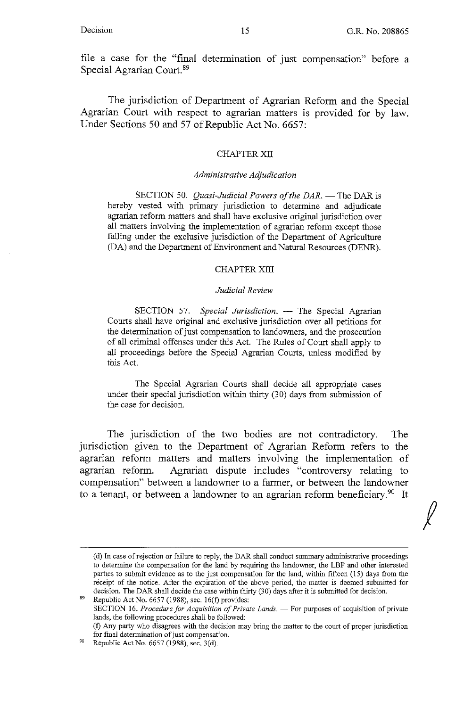$\int$ 

file a case for the "final determination of just compensation" before a Special Agrarian Court. 89

The jurisdiction of Department of Agrarian Reform and the Special Agrarian Court with respect to agrarian matters is provided for by law. Under Sections 50 and 57 of Republic Act No. 6657:

#### CHAPTER XII

#### *Administrative Adjudication*

SECTION 50. *Quasi-Judicial Powers of the DAR*. - The DAR is hereby vested with primary jurisdiction to determine and adjudicate agrarian reform matters and shall have exclusive original jurisdiction over all matters involving the implementation of agrarian reform except those falling under the exclusive jurisdiction of the Department of Agriculture (DA) and the Department of Environment and Natural Resources (DENR).

#### CHAPTER XIII

#### *Judicial Review*

SECTION 57. Special Jurisdiction. - The Special Agrarian Courts shall have original and exclusive jurisdiction over all petitions for the determination of just compensation to landowners, and the prosecution of all criminal offenses under this Act. The Rules of Court shall apply to all proceedings before the Special Agrarian Courts, unless modified by this Act.

The Special Agrarian Courts shall decide all appropriate cases under their special jurisdiction within thirty (30) days from submission of the case for decision.

The jurisdiction of the two bodies are not contradictory. The jurisdiction given to the Department of Agrarian Reform refers to the agrarian reform matters and matters involving the implementation of agrarian reform. Agrarian dispute includes "controversy relating to compensation" between a landowner to a farmer, or between the landowner to a tenant, or between a landowner to an agrarian reform beneficiary.<sup>90</sup> It

<sup>(</sup> d) In case ofrejection or failnre to reply, the DAR shall conduct snrumary administrative proceedings to determine the compensation for the land by requiring the landowner, the LBP and other interested parties to submit evidence as to the just compensation for the land, within fifteen (15) days from the receipt of the notice. After the expiration of the above period, the matter is deemed submitted for decision. The DAR shall decide the case within thirty (30) days after it is submitted for decision.

Republic Act No. 6657 (1988), sec. 16(f) provides: SECTION 16. *Procedure for Acquisition of Private Lands.* - For purposes of acquisition of private lands, the following procednres shall be followed: (t) Any party who disagrees with the decision may bring the matter to the conrt of proper jnrisdiction **for final determination of just compensation.** 

Republic Act No. 6657 (1988), sec. 3(d).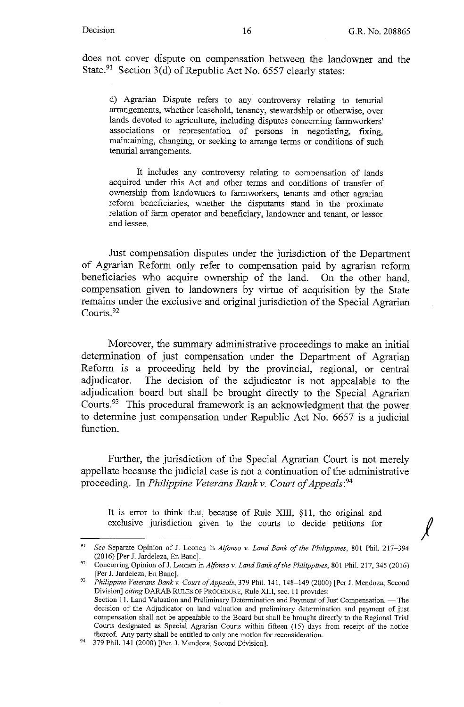does not cover dispute on compensation between the landowner and the State.<sup>91</sup> Section 3(d) of Republic Act No. 6557 clearly states:

d) Agrarian Dispute refers to any controversy relating to tenurial arrangements, whether leasehold, tenancy, stewardship or otherwise, over lands devoted to agriculture, including disputes concerning fannworkers' associations or representation of persons in negotiating, fixing, maintaining, changing, or seeking to arrange terms or conditions of such tenurial arrangements.

It includes any controversy relating to compensation of lands acquired under this Act and other terms and conditions of transfer of ownership from landowners to fannworkers, tenants and other agrarian reform beneficiaries, whether the disputants stand in the proximate relation of fann operator and beneficiary, landowner and tenant, or lessor and lessee.

Just compensation disputes under the jurisdiction of the Department of Agrarian Reform only refer to compensation paid by agrarian reform beneficiaries who acquire ownership of the land. On the other hand, compensation given to landowners by virtue of acquisition by the State remains under the exclusive and original jurisdiction of the Special Agrarian Courts.92

Moreover, the summary administrative proceedings to make an initial determination of just compensation under the Department of Agrarian Reform is a proceeding held by the provincial, regional, or central adjudicator. The decision of the adjudicator is not appealable to the adjudication board but shall be brought directly to the Special Agrarian Courts.<sup>93</sup> This procedural framework is an acknowledgment that the power to determine just compensation under Republic Act No. 6657 is a judicial function.

Further, the jurisdiction of the Special Agrarian Court is not merely appellate because the judicial case is not a continuation of the administrative proceeding. In *Philippine Veterans Bank v. Court of Appeals:*<sup>94</sup>

It is error to think that, because of Rule XIII,  $\S11$ , the original and exclusive jurisdiction given to the courts to decide petitions for

<sup>91</sup> See Separate Opinion of J. Leonen in *Alfonso v. Land Bank of the Philippines,* 801 Phil. 217-394 (2016) [Per J. Jardeleza. En Banc].

<sup>&</sup>lt;sup>92</sup> Concurring Opinion of J. Leonen in *Alfonso v. Land Bank of the Philippines*, 801 Phil. 217, 345 (2016) [Per J. Jardeleza, En Banc].

<sup>[</sup>Per J. Jardeleza, En Banc]. 93 *Philippine Veterans Bank v. Court of Appeals,* 379 Phil. 141, 148-149 (2000) [Per J. Mendoza, Second Division] *citing* DARAB RULES OF PROCEDURE, Rule XIII, sec. 11 provides: Section 11. Land Valuation and Preliminary Determination and Payment of Just Compensation. - The decision of the Adjudicator on land valuation and preliminary determination and payment of just compensation shall not be appealable to the Board but shall be brought directly to the Regional Trial Courts designated as Special Agrarian Courts within fifteen (15) days from receipt of the notice thereof. Any party shall be entitled to only one motion for reconsideration.<br>379 Phil. 141 (2000) [Per. J. Mendoza, Second Division].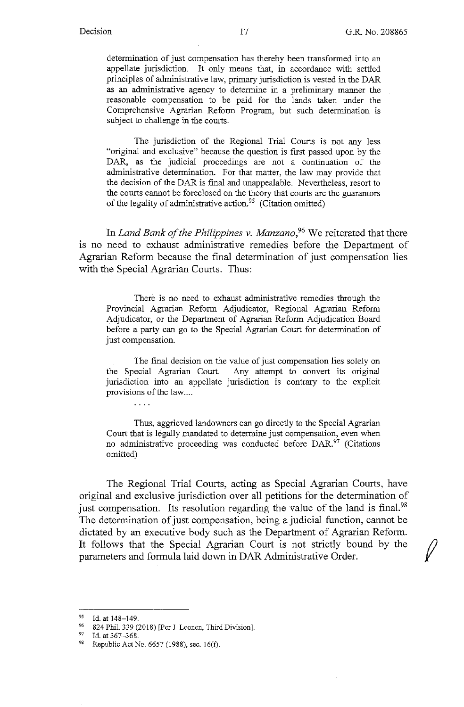$\sqrt{2}$ 

determination of just compensation has thereby been transformed into an appellate jurisdiction. It only means that, in accordance with settled principles of administrative law, primary jurisdiction is vested in the DAR as an administrative agency to determine in a preliminary manner the reasonable compensation to be paid for the lands taken under the Comprehensive Agrarian Reform Program, but such determination is subject to challenge in the courts.

The jurisdiction of the Regional Trial Courts is not any less "original and exclusive" because the question is first passed upon by the DAR, as the judicial proceedings are not a continuation of the administrative determination. For that matter, the Jaw may provide that the decision of the DAR is final and unappealable. Nevertheless, resort to the courts cannot be foreclosed on the theory that courts are the guarantors of the legality of administrative action.<sup>95</sup> (Citation omitted)

In *Land Bank of the Philippines v. Manzano*,<sup>96</sup> We reiterated that there is no need to exhaust administrative remedies before the Department of Agrarian Reform because the final determination of just compensation lies with the Special Agrarian Courts. Thus:

There is no need to exhaust administrative remedies through the Provincial Agrarian Reform Adjudicator, Regional Agrarian Reform Adjudicator, or the Department of Agrarian Reform Adjudication Board before a party can go to the Special Agrarian Court for determination of just compensation.

The final decision on the value of just compensation lies solely on the Special Agrarian Court. Any attempt to convert its original jurisdiction into an appellate jurisdiction is contrary to the explicit provisions of the law....

Thus, aggrieved landowners can go directly to the Special Agrarian Court that is legally mandated to determine just compensation, even when no administrative proceeding was conducted before DAR.97 (Citations omitted)

The Regional Trial Courts, acting as Special Agrarian Courts, have original and exclusive jurisdiction over all petitions for the determination of just compensation. Its resolution regarding the value of the land is final.<sup>98</sup> The determination of just compensation, being a judicial function, cannot be dictated by an executive body such as the Department of Agrarian Reform. It follows that the Special Agrarian Court is not strictly bound by the parameters and formula laid down in DAR Administrative Order.

<sup>95</sup> Id. at 148-149.

<sup>96 824</sup> Phil. 339 (2018) [Per J. Leonen, Third Division].<br>
<sup>97</sup> Id. at 367-368.<br>
<sup>98</sup> Perublic Act No. 6657 (1988) 289, 1666.

Republic Act No. 6657 (1988), sec. 16(f).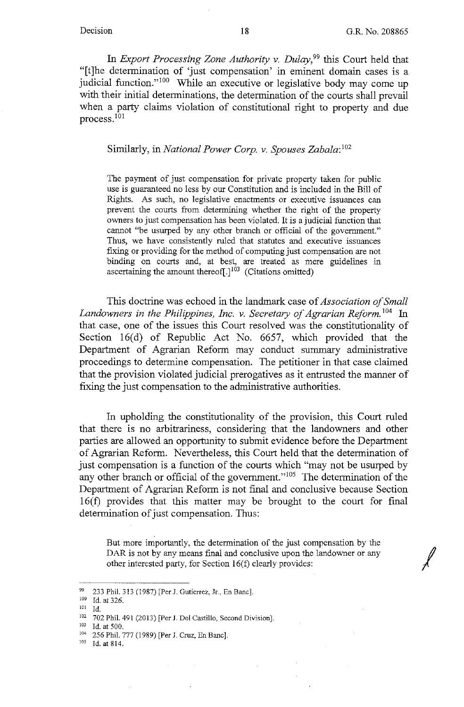*I* 

In *Export Processing Zone Authority v. Dulay*,<sup>99</sup> this Court held that "[t]he determination of 'just compensation' in eminent domain cases is a judicial function."<sup>100</sup> While an executive or legislative body may come up with their initial determinations, the determination of the courts shall prevail when a party claims violation of constitutional right to property and due process.<sup>101</sup>

Similarly, in *National Power Corp. v. Spouses Zabala:* <sup>102</sup>

The payment of just compensation for private property taken for public use is guaranteed no less by our Constitution and is included in the Bill of Rights. As such, no legislative enactments or executive issuances can prevent the courts from determining whether the right of the property owners to just compensation has been violated. It is a judicial function that cannot "be usurped by any other branch or official of the government." Thus, we have consistently ruled that statutes and executive issuances fixing or providing for the method of computing just compensation are not binding on courts and, at best, are treated as mere guidelines in ascertaining the amount thereof $[.]^{103}$  (Citations omitted)

This doctrine was echoed in the landmark case of *Association of Small*  Landowners in the Philippines, Inc. v. Secretary of Agrarian Reform.<sup>104</sup> In that case, one of the issues this Court resolved was the constitutionality of Section 16(d) of Republic Act No. 6657, which provided that the Department of Agrarian Reform may conduct summary administrative proceedings to determine compensation. The petitioner in that case claimed that the provision violated judicial prerogatives as it entrusted the manner of fixing the just compensation to the administrative authorities.

In upholding the constitutionality of the provision, this Court ruled that there is no arbitrariness, considering that the landowners and other parties are allowed an opportunity to submit evidence before the Department of Agrarian Reform. Nevertheless, this Court held that the determination of just compensation is a function of the courts which "may not be usurped by any other branch or official of the government."<sup>105</sup> The determination of the Department of Agrarian Reform is not final and conclusive because Section 16(f) provides that this matter may be brought to the court for final determination of just compensation. Thus:

But more importantly, the determination of the just compensation by the DAR is not by any means final and conclusive upon the landowner or any other interested party, for Section l 6(f) clearly provides:

<sup>99 233</sup> Phil. 313 (1987) [Per J. Gutierrez, Jr., En Banc].<br><sup>100</sup> Id. at 326.<br><sup>101</sup> Id

IOI **Id.** 

<sup>102 702</sup> Phil. 491 (2013) [Per J. Del Castillo, Second Division].

<sup>&</sup>lt;sup>103</sup> Id. at 500.

<sup>104 256</sup> Phil. 777 (1989) [Per J. Cruz, En Banc]. 105 **Id. at 814.**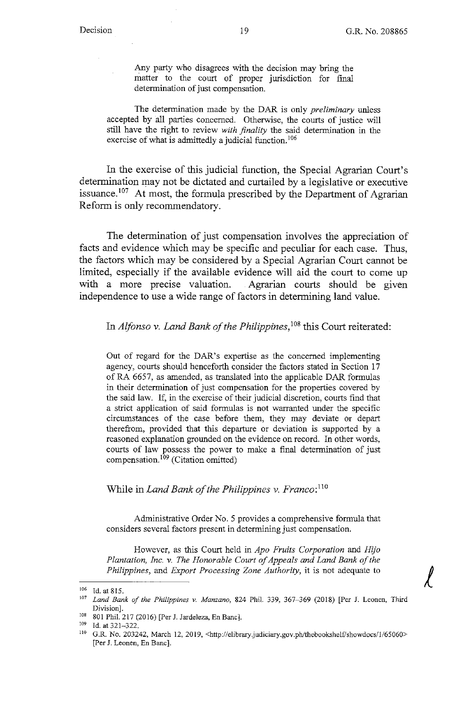$\ell$ 

Any party who disagrees with the decision may bring the matter to the court of proper jurisdiction for final determination of just compensation.

The determination made by the DAR is only *preliminary* unless accepted by all parties concerned. Otherwise, the courts of justice will still have the right to review *with finality* the said determination in the exercise of what is admittedly a judicial function.<sup>106</sup>

In the exercise of this judicial function, the Special Agrarian Court's determination may not be dictated and curtailed by a legislative or executive issuance.<sup>107</sup> At most, the formula prescribed by the Department of Agrarian Reform is only recommendatory.

The determination of just compensation involves the appreciation of facts and evidence which may be specific and peculiar for each case. Thus, the factors which may be considered by a Special Agrarian Court cannot be limited, especially if the available evidence will aid the court to come up with a more precise valuation. Agrarian courts should be given independence to use a wide range of factors in determining land value.

## In *Alfonso v. Land Bank of the Philippines,* 108 this Court reiterated:

Out of regard for the DAR's expertise as the concerned implementing agency, courts should henceforth consider the factors stated in Section 17 of RA 6657, as amended, as translated into the applicable DAR formulas in their determination of just compensation for the properties covered by the said law. If, in the exercise of their judicial discretion, courts find that a strict application of said formulas is not warranted under the specific circumstances of the case before them, they may deviate or depart therefrom, provided that this departure or deviation is supported by a reasoned explanation grounded on the evidence on record. In other words, courts of law possess the power to make a final determination of just compensation.<sup>109</sup> (Citation omitted)

## While in *Land Bank of the Philippines v. Franco*:<sup>110</sup>

Administrative Order No. 5 provides a comprehensive formula that considers several factors present in determining just compensation.

However, as this Court held in *Apo Fruits Corporation* and *Hija Plantation, Inc. v. The Honorable Court of Appeals and Land Bank of the Philippines,* and *Export Processing Zone Authority,* it is not adequate to

<sup>106</sup> Id. at **815.** 

<sup>107</sup>*Land Bank of the Philippines v. Manzano,* 824 Phil. 339, 367-369 (2018) [Per J. Leonen, Third Division]. 108 801 Phil. 217 (2016) [Per J. Jardeleza, En Banc]. 109 Id. at 321-322.

<sup>&</sup>lt;sup>110</sup> G.R. No. 203242, March 12, 2019, <http://elibrary.judiciary.gov.ph/thebookshelf/showdocs/1/65060> [Per J. Leonen, En Banc].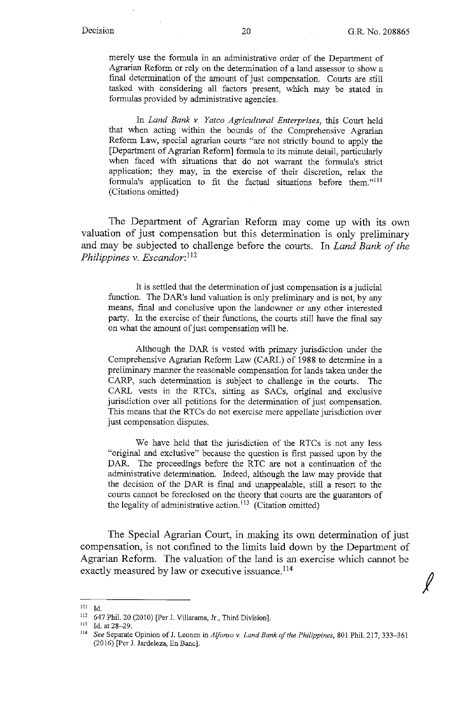*I* 

merely use the formula in an administrative order of the Department of Agrarian Reform or rely on the determination of a land assessor to show a final determination of the amount of just compensation. Courts are still tasked with considering all factors present, which may be stated in formulas provided by administrative agencies.

In *Land Bank v. Yatco Agricultural Enterprises,* this Court held that when acting within the bounds of the Comprehensive Agrarian Reform Law, special agrarian courts "are not strictly bound to apply the [Department of Agrarian Reform] formula to its minute detail, particularly when faced with situations that do not warrant the formula's strict application; they may, in the exercise of their discretion, relax the formula's application to fit the factual situations before them."<sup>111</sup> (Citations omitted)

The Department of Agrarian Reform may come up with its own valuation of just compensation but this determination is only preliminary and may be subjected to challenge before the courts. In *Land Bank of the Philippines v. Escandor*:<sup>112</sup>

It is settled that the determination of just compensation is a judicial function. The DAR's land valuation is only preliminary and is not, by any means, final and conclusive upon the landowner or any other interested party. In the exercise of their functions, the courts still have the final say on what the amount of just compensation will be.

Although the DAR is vested with primary jurisdiction under the Comprehensive Agrarian Reform Law (CARL) of 1988 to determine in a preliminary manner the reasonable compensation for lands taken under the CARP, such determination is subject to challenge in the courts. The CARL vests in the RTCs, sitting as SACs, original and exclusive jurisdiction over all petitions for the determination of just compensation. This means that the RTCs do not exercise mere appellate jurisdiction over just compensation disputes.

We have held that the jurisdiction of the RTCs is not any less "original and exclusive" because the question is first passed upon by the DAR. The proceedings before the RTC are not a continuation of the administrative determination. Indeed, although the law may provide that the decision of the DAR is final and unappealable, still a resort to the courts cannot be foreclosed on the theory that courts are the guarantors of the legality of administrative action.<sup>113</sup> (Citation omitted)

The Special Agrarian Court, in making its own determination of just compensation, is not confined to the limits laid down by the Department of Agrarian Reform. The valuation of the land is an exercise which cannot be exactly measured by law or executive issuance.<sup>114</sup>

<sup>111</sup> Id. 112 647 Phil. 20 (2010) [Per J. Villarama, Jr., Third Division]. 113 Id. at 28-29. 114 See Separate Opinion of J. Leonen in *Alfonso* v. *Land Bank of the Philippines,* 801 Phil. 217, 333-361 (2016) [Per J. Jardeleza, En Banc].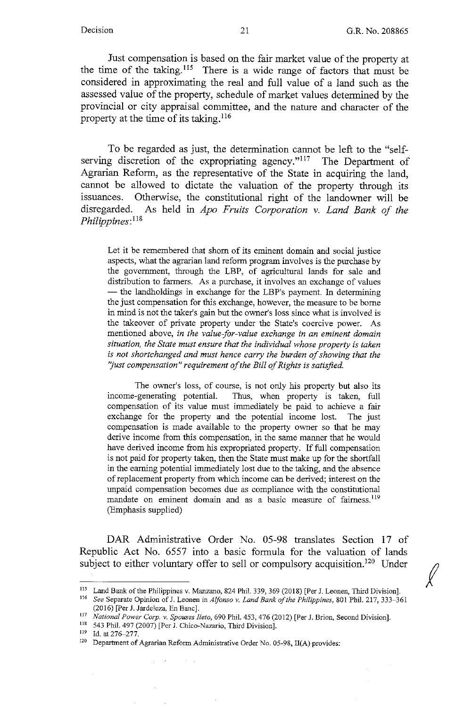$\mathscr{L}$ 

Just compensation is based on the fair market value of the property at the time of the taking. 115 There is a wide range of factors that must be considered in approximating the real and full value of a land such as the assessed value of the property, schedule of market values determined by the provincial or city appraisal committee, and the nature and character of the property at the time of its taking.<sup>116</sup>

To be regarded as just, the determination cannot be left to the "selfserving discretion of the expropriating agency."<sup>117</sup> The Department of Agrarian Reform, as the representative of the State in acquiring the land, cannot be allowed to dictate the valuation of the property through its issuances. Otherwise, the constitutional right of the landowner will be disregarded. As held in *Apo Fruits Corporation v. Land Bank of the Philippines:* <sup>118</sup>

Let it be remembered that shorn of its eminent domain and social justice aspects, what the agrarian land reform program involves is the purchase by the government, through the LBP, of agricultural lands for sale and distribution to farmers. As a purchase, it involves an exchange of values - the landholdings in exchange for the LBP's payment. In determining the just compensation for this exchange, however, the measure to be borne in mind is not the taker's gain but the owner's loss since what is involved is the takeover of private property under the State's coercive power. As mentioned above, *in the value-for-value exchange in an eminent domain situation, the State must ensure that the individual whose property is taken is not shortchanged and must hence carry the burden of showing that the "just compensation" requirement of the Bill of Rights is satisfied.* 

The owner's loss, of course, is not only his property but also its income-generating potential. Thus, when property is taken, full compensation of its value must immediately be paid to achieve a fair exchange for the property and the potential income lost. The just compensation is made available to the property owner so that he may derive income from this compensation, in the same manner that he would have derived income from his expropriated property. If full compensation is not paid for property taken, then the State must make up for the shortfall in the earning potential immediately lost due to the taking, and the absence of replacement property from which income can be derived; interest on the unpaid compensation becomes due as compliance with the constitutional mandate on eminent domain and as a basic measure of fairness.<sup>119</sup> (Emphasis supplied)

DAR Administrative Order No. 05-98 translates Section 17 of Republic Act No. 6557 into a basic formula for the valuation of lands subject to either voluntary offer to sell or compulsory acquisition.<sup>120</sup> Under

<sup>&</sup>lt;sup>115</sup> Land Bank of the Philippines v. Manzano, 824 Phil. 339, 369 (2018) [Per J. Leonen, Third Division].<br><sup>116</sup> See Separate Opinion of J. Leonen in *Alfonso v. Land Bank of the Philippines*, 801 Phil. 217, 333–361

<sup>(2016) [</sup>Per J. Jardeleza, En Banc].<br>
117 National Power Corp. v. Spouses Ileto, 690 Phil. 453, 476 (2012) [Per J. Brion, Second Division].<br>
118 543 Phil. 497 (2007) [Per J. Chico-Nazario, Third Division].<br>
119 Id. at 276–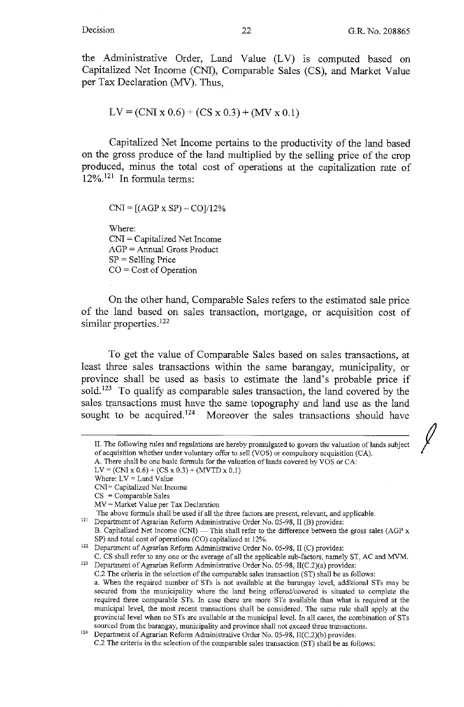$LV = (CNI x 0.6) + (CS x 0.3) + (MV x 0.1)$ 

Capitalized Net Income pertains to the productivity of the land based on the gross produce of the land multiplied by the selling price of the crop produced, minus the total cost of operations at the capitalization rate of 12%. 121 In formula terms:

 $CNI = [(AGP \times SP) - CO]/12\%$ 

Where: CNI = Capitalized Net Income AGP = Annual Gross Product  $SP =$  Selling Price  $CO = Cost of Operation$ 

On the other hand, Comparable Sales refers to the estimated sale price of the land based on sales transaction, mortgage, or acquisition cost of similar properties.<sup>122</sup>

To get the value of Comparable Sales based on sales transactions, at least three sales transactions within the same barangay, municipality, or province shall be used as basis to estimate the land's probable price if  $sold.<sup>123</sup>$  To qualify as comparable sales transaction, the land covered by the sales transactions must have the same topography and land use as the land sought to be acquired.<sup>124</sup> Moreover the sales transactions should have

 $MV = Market Value per Tax Declaration$ 

*I* 

II. The following rules and regulations are hereby promulgated to govern the valuation of lands subject of acquisition whether under voluntary offer to sell (VOS) or compulsory acquisition (CA). A. There shall be one basic formula for the valuation of lands covered by VOS or CA:

 $LV = (CNI x 0.6) + (CS x 0.3) + (MVTD x 0.1)$ 

Where:  $LV =$  Land Value

CNI= Capitalized Net Income

 $CS = Comparable Sales$ 

The above formula shall be used if all the three factors are present, relevant, and applicable.<br>121 Department of Agrarian Reform Administrative Order No. 05-98, II (B) provides:

B. Capitalized Net Income (CNI) - This shall refer to the difference between the gross sales (AGP  $x$ SP) and total cost of operations (CO) capitalized at 12%.<br><sup>122</sup> Department of Agrarian Reform Administrative Order No. 05-98, II (C) provides:

C. CS shall refer to any one or the average of all the applicable sub-factors, namely ST, AC and MVM.<br><sup>123</sup> Department of Agrarian Reform Administrative Order No. 05-98, II(C.2)(a) provides: C.2 The criteria in the selection of the comparable sales transaction (ST) shall be as follows: a. When the required number of STs is not available at the barangay level, additional STs may be **secured from the municipality where the land being offered/covered is situated to complete the**  required three comparable STs. In case there are more STs available than what is required at the municipal level, the most recent transactions shall be considered. The same rule shall apply at the

provincial level when no STs are available at the municipal level. In all cases, the combination of STs **sourced from the barangay, municipality and province shall not exceed three transactions.** 124 Department of Agrarian Reform Administrative Order No. 05-98, II(C.2)(b) provides:

C.2 The criteria in the selection of the comparable sales transaction (ST) shall be as follows: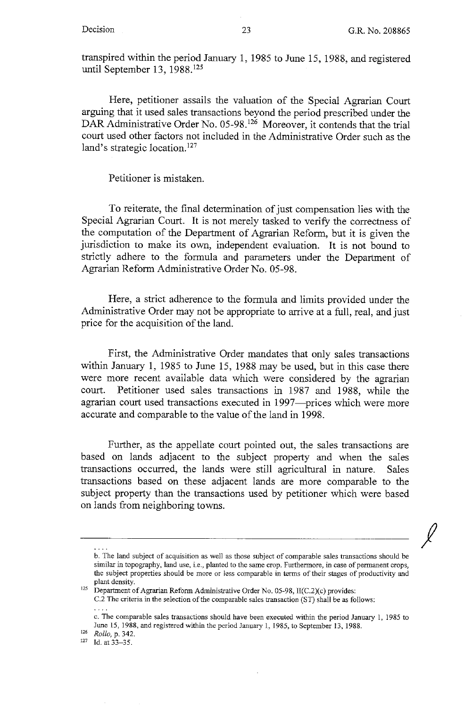transpired within the period January 1, 1985 to June 15, 1988, and registered until September 13, 1988.<sup>125</sup>

Here, petitioner assails the valuation of the Special Agrarian Court arguing that it used sales transactions beyond the period prescribed under the DAR Administrative Order No. 05-98.<sup>126</sup> Moreover, it contends that the trial court used other factors not included in the Administrative Order such as the land's strategic location.<sup>127</sup>

Petitioner is mistaken.

To reiterate, the final determination of just compensation lies with the Special Agrarian Court. It is not merely tasked to verify the correctness of the computation of the Department of Agrarian Reform, but it is given the jurisdiction to make its own, independent evaluation. It is not bound to strictly adhere to the formula and parameters under the Department of Agrarian Reform Administrative Order No. 05-98.

Here, a strict adherence to the formula and limits provided under the Administrative Order may not be appropriate to arrive at a full, real, and just price for the acquisition of the land.

First, the Administrative Order mandates that only sales transactions within January 1, 1985 to June 15, 1988 may be used, but in this case there were more recent available data which were considered by the agrarian court. Petitioner used sales transactions in 1987 and 1988, while the agrarian court used transactions executed in 1997-prices which were more accurate and comparable to the value of the land in 1998.

Further, as the appellate court pointed out, the sales transactions are based on lands adjacent to the subject property and when the sales transactions occurred, the lands were still agricultural in nature. Sales transactions based on these adjacent lands are more comparable to the subject property than the transactions used by petitioner which were based on lands from neighboring towns.

*I* 

<sup>126</sup>*Rollo,* **p. 342.** 

b. The land subject of acquisition as well as those subject of comparable sales transactions should be similar in topography, land use, i.e., planted to the same crop. Furthermore, in case of permanent crops, the subject properties should be more or less comparable in tenns of their stages of productivity and plant density.<br>
<sup>125</sup> Department of Agrarian Reform Administrative Order No. 05-98, II(C.2)(c) provides:

C.2 The criteria in the selection of the comparable sales transaction (ST) shall be as follows:

c. The comparable sales transactions should have been executed within the period January I, 1985 to June 15, 1988, and registered within the period January I, 1985, to September 13, 1988.

<sup>127</sup>**Id. at 33-35.**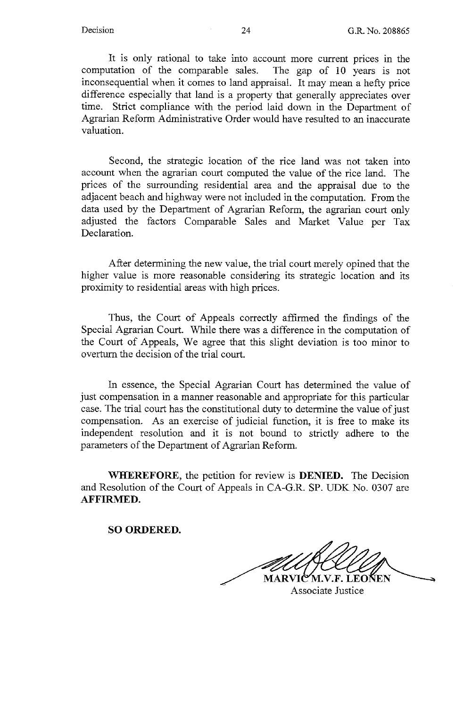It is only rational to take into account more current prices in the computation of the comparable sales. The gap of 10 years is not inconsequential when it comes to land appraisal. It may mean a hefty price difference especially that land is a property that generally appreciates over time. Strict compliance with the period laid down in the Department of Agrarian Reform Administrative Order would have resulted to an inaccurate valuation.

Second, the strategic location of the rice land was not taken into account when the agrarian court computed the value of the rice land. The prices of the surrounding residential area and the appraisal due to the adjacent beach and highway were not included in the computation. From the data used by the Department of Agrarian Reform, the agrarian court only adjusted the factors Comparable Sales and Market Value per Tax Declaration.

After determining the new value, the trial court merely opined that the higher value is more reasonable considering its strategic location and its proximity to residential areas with high prices.

Thus, the Court of Appeals correctly affirmed the findings of the Special Agrarian Court. While there was a difference in the computation of the Court of Appeals, We agree that this slight deviation is too minor to overturn the decision of the trial court.

In essence, the Special Agrarian Court has determined the value of just compensation in a manner reasonable and appropriate for this particular case. The trial court has the constitutional duty to determine the value of just compensation. As an exercise of judicial function, it is free to make its independent resolution and it is not bound to strictly adhere to the parameters of the Department of Agrarian Reform.

**WHEREFORE,** the petition for review is **DENIED.** The Decision and Resolution of the Court of Appeals in CA-G.R. SP. UDK No. 0307 are **AFFIRMED.** 

**SO ORDERED.** 

MARVIC M.V.F. LEONEN

Associate Justice